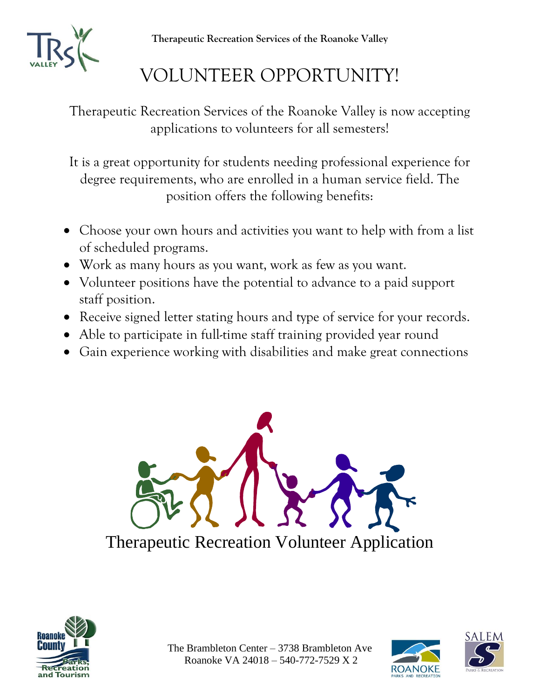**Therapeutic Recreation Services of the Roanoke Valley**



## VOLUNTEER OPPORTUNITY!

Therapeutic Recreation Services of the Roanoke Valley is now accepting applications to volunteers for all semesters!

It is a great opportunity for students needing professional experience for degree requirements, who are enrolled in a human service field. The position offers the following benefits:

- Choose your own hours and activities you want to help with from a list of scheduled programs.
- Work as many hours as you want, work as few as you want.
- Volunteer positions have the potential to advance to a paid support staff position.
- Receive signed letter stating hours and type of service for your records.
- Able to participate in full-time staff training provided year round
- Gain experience working with disabilities and make great connections